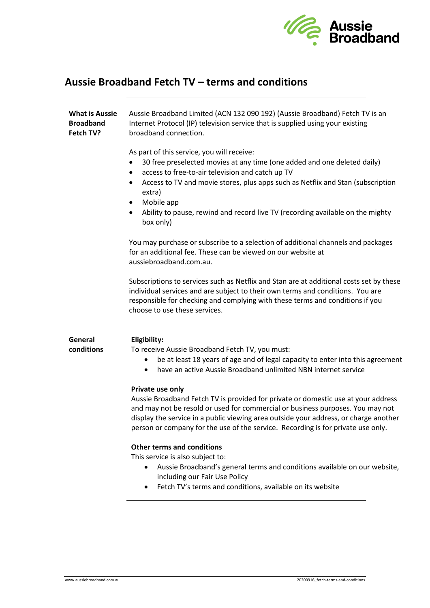

# **Aussie Broadband Fetch TV – terms and conditions**

| <b>What is Aussie</b><br><b>Broadband</b><br>Fetch TV? | Aussie Broadband Limited (ACN 132 090 192) (Aussie Broadband) Fetch TV is an<br>Internet Protocol (IP) television service that is supplied using your existing<br>broadband connection.                                                                                                                                                                                                                     |
|--------------------------------------------------------|-------------------------------------------------------------------------------------------------------------------------------------------------------------------------------------------------------------------------------------------------------------------------------------------------------------------------------------------------------------------------------------------------------------|
|                                                        | As part of this service, you will receive:<br>30 free preselected movies at any time (one added and one deleted daily)<br>access to free-to-air television and catch up TV<br>$\bullet$<br>Access to TV and movie stores, plus apps such as Netflix and Stan (subscription<br>٠<br>extra)<br>Mobile app<br>٠<br>Ability to pause, rewind and record live TV (recording available on the mighty<br>box only) |
|                                                        | You may purchase or subscribe to a selection of additional channels and packages<br>for an additional fee. These can be viewed on our website at<br>aussiebroadband.com.au.                                                                                                                                                                                                                                 |
|                                                        | Subscriptions to services such as Netflix and Stan are at additional costs set by these<br>individual services and are subject to their own terms and conditions. You are<br>responsible for checking and complying with these terms and conditions if you<br>choose to use these services.                                                                                                                 |
| General<br>conditions                                  | Eligibility:<br>To receive Aussie Broadband Fetch TV, you must:<br>be at least 18 years of age and of legal capacity to enter into this agreement<br>have an active Aussie Broadband unlimited NBN internet service<br>٠                                                                                                                                                                                    |
|                                                        | Private use only<br>Aussie Broadband Fetch TV is provided for private or domestic use at your address<br>and may not be resold or used for commercial or business purposes. You may not<br>display the service in a public viewing area outside your address, or charge another<br>person or company for the use of the service. Recording is for private use only.                                         |
|                                                        | <b>Other terms and conditions</b><br>This service is also subject to:<br>Aussie Broadband's general terms and conditions available on our website,<br>$\bullet$<br>including our Fair Use Policy<br>Fetch TV's terms and conditions, available on its website                                                                                                                                               |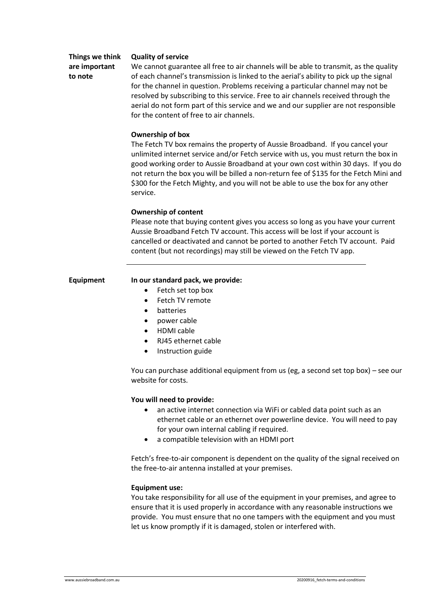# **Things we think are important to note**

#### **Quality of service**

We cannot guarantee all free to air channels will be able to transmit, as the quality of each channel's transmission is linked to the aerial's ability to pick up the signal for the channel in question. Problems receiving a particular channel may not be resolved by subscribing to this service. Free to air channels received through the aerial do not form part of this service and we and our supplier are not responsible for the content of free to air channels.

## **Ownership of box**

The Fetch TV box remains the property of Aussie Broadband. If you cancel your unlimited internet service and/or Fetch service with us, you must return the box in good working order to Aussie Broadband at your own cost within 30 days. If you do not return the box you will be billed a non-return fee of \$135 for the Fetch Mini and \$300 for the Fetch Mighty, and you will not be able to use the box for any other service.

# **Ownership of content**

Please note that buying content gives you access so long as you have your current Aussie Broadband Fetch TV account. This access will be lost if your account is cancelled or deactivated and cannot be ported to another Fetch TV account. Paid content (but not recordings) may still be viewed on the Fetch TV app.

# **Equipment In our standard pack, we provide:**

- Fetch set top box
- Fetch TV remote
- batteries
- power cable
- HDMI cable
- RJ45 ethernet cable
- Instruction guide

You can purchase additional equipment from us (eg, a second set top box) – see our website for costs.

## **You will need to provide:**

- an active internet connection via WiFi or cabled data point such as an ethernet cable or an ethernet over powerline device. You will need to pay for your own internal cabling if required.
- a compatible television with an HDMI port

Fetch's free-to-air component is dependent on the quality of the signal received on the free-to-air antenna installed at your premises.

## **Equipment use:**

You take responsibility for all use of the equipment in your premises, and agree to ensure that it is used properly in accordance with any reasonable instructions we provide. You must ensure that no one tampers with the equipment and you must let us know promptly if it is damaged, stolen or interfered with.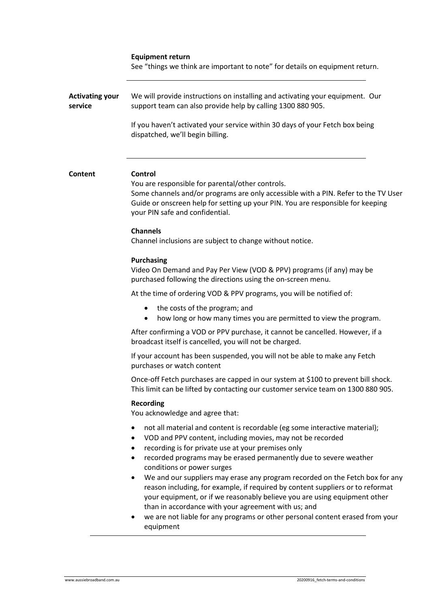| <b>Equipment return</b> |  |
|-------------------------|--|
|-------------------------|--|

See "things we think are important to note" for details on equipment return.

| <b>Activating your</b><br>service | We will provide instructions on installing and activating your equipment. Our<br>support team can also provide help by calling 1300 880 905.                                                                                                                                                                                                                                                                                                                                                                                                                                                                                                                                                                            |
|-----------------------------------|-------------------------------------------------------------------------------------------------------------------------------------------------------------------------------------------------------------------------------------------------------------------------------------------------------------------------------------------------------------------------------------------------------------------------------------------------------------------------------------------------------------------------------------------------------------------------------------------------------------------------------------------------------------------------------------------------------------------------|
|                                   | If you haven't activated your service within 30 days of your Fetch box being<br>dispatched, we'll begin billing.                                                                                                                                                                                                                                                                                                                                                                                                                                                                                                                                                                                                        |
| Content                           | <b>Control</b><br>You are responsible for parental/other controls.<br>Some channels and/or programs are only accessible with a PIN. Refer to the TV User<br>Guide or onscreen help for setting up your PIN. You are responsible for keeping<br>your PIN safe and confidential.<br><b>Channels</b>                                                                                                                                                                                                                                                                                                                                                                                                                       |
|                                   | Channel inclusions are subject to change without notice.                                                                                                                                                                                                                                                                                                                                                                                                                                                                                                                                                                                                                                                                |
|                                   | <b>Purchasing</b><br>Video On Demand and Pay Per View (VOD & PPV) programs (if any) may be<br>purchased following the directions using the on-screen menu.                                                                                                                                                                                                                                                                                                                                                                                                                                                                                                                                                              |
|                                   | At the time of ordering VOD & PPV programs, you will be notified of:                                                                                                                                                                                                                                                                                                                                                                                                                                                                                                                                                                                                                                                    |
|                                   | the costs of the program; and<br>$\bullet$<br>how long or how many times you are permitted to view the program.<br>$\bullet$                                                                                                                                                                                                                                                                                                                                                                                                                                                                                                                                                                                            |
|                                   | After confirming a VOD or PPV purchase, it cannot be cancelled. However, if a<br>broadcast itself is cancelled, you will not be charged.                                                                                                                                                                                                                                                                                                                                                                                                                                                                                                                                                                                |
|                                   | If your account has been suspended, you will not be able to make any Fetch<br>purchases or watch content                                                                                                                                                                                                                                                                                                                                                                                                                                                                                                                                                                                                                |
|                                   | Once-off Fetch purchases are capped in our system at \$100 to prevent bill shock.<br>This limit can be lifted by contacting our customer service team on 1300 880 905.                                                                                                                                                                                                                                                                                                                                                                                                                                                                                                                                                  |
|                                   | <b>Recording</b><br>You acknowledge and agree that:                                                                                                                                                                                                                                                                                                                                                                                                                                                                                                                                                                                                                                                                     |
|                                   | not all material and content is recordable (eg some interactive material);<br>٠<br>VOD and PPV content, including movies, may not be recorded<br>recording is for private use at your premises only<br>recorded programs may be erased permanently due to severe weather<br>$\bullet$<br>conditions or power surges<br>We and our suppliers may erase any program recorded on the Fetch box for any<br>reason including, for example, if required by content suppliers or to reformat<br>your equipment, or if we reasonably believe you are using equipment other<br>than in accordance with your agreement with us; and<br>we are not liable for any programs or other personal content erased from your<br>equipment |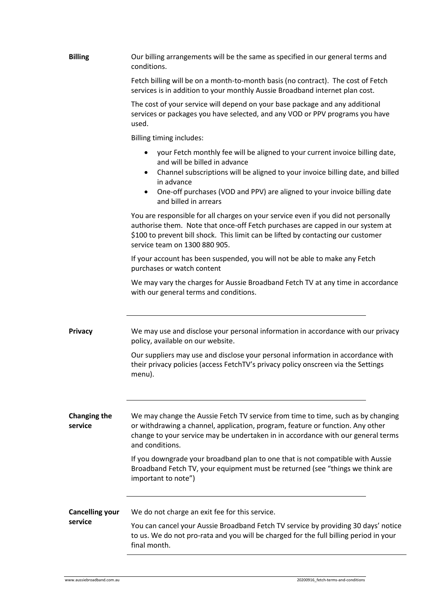| <b>Billing</b>                 | Our billing arrangements will be the same as specified in our general terms and<br>conditions.                                                                                                                                                                                                                                               |
|--------------------------------|----------------------------------------------------------------------------------------------------------------------------------------------------------------------------------------------------------------------------------------------------------------------------------------------------------------------------------------------|
|                                | Fetch billing will be on a month-to-month basis (no contract). The cost of Fetch<br>services is in addition to your monthly Aussie Broadband internet plan cost.                                                                                                                                                                             |
|                                | The cost of your service will depend on your base package and any additional<br>services or packages you have selected, and any VOD or PPV programs you have<br>used.                                                                                                                                                                        |
|                                | Billing timing includes:                                                                                                                                                                                                                                                                                                                     |
|                                | your Fetch monthly fee will be aligned to your current invoice billing date,<br>and will be billed in advance<br>Channel subscriptions will be aligned to your invoice billing date, and billed<br>$\bullet$<br>in advance<br>One-off purchases (VOD and PPV) are aligned to your invoice billing date<br>$\bullet$<br>and billed in arrears |
|                                | You are responsible for all charges on your service even if you did not personally<br>authorise them. Note that once-off Fetch purchases are capped in our system at<br>\$100 to prevent bill shock. This limit can be lifted by contacting our customer<br>service team on 1300 880 905.                                                    |
|                                | If your account has been suspended, you will not be able to make any Fetch<br>purchases or watch content                                                                                                                                                                                                                                     |
|                                | We may vary the charges for Aussie Broadband Fetch TV at any time in accordance<br>with our general terms and conditions.                                                                                                                                                                                                                    |
| <b>Privacy</b>                 | We may use and disclose your personal information in accordance with our privacy<br>policy, available on our website.                                                                                                                                                                                                                        |
|                                | Our suppliers may use and disclose your personal information in accordance with<br>their privacy policies (access FetchTV's privacy policy onscreen via the Settings<br>menu).                                                                                                                                                               |
| <b>Changing the</b><br>service | We may change the Aussie Fetch TV service from time to time, such as by changing<br>or withdrawing a channel, application, program, feature or function. Any other<br>change to your service may be undertaken in in accordance with our general terms<br>and conditions.                                                                    |
|                                | If you downgrade your broadband plan to one that is not compatible with Aussie<br>Broadband Fetch TV, your equipment must be returned (see "things we think are<br>important to note")                                                                                                                                                       |
| <b>Cancelling your</b>         | We do not charge an exit fee for this service.                                                                                                                                                                                                                                                                                               |
| service                        | You can cancel your Aussie Broadband Fetch TV service by providing 30 days' notice<br>to us. We do not pro-rata and you will be charged for the full billing period in your<br>final month.                                                                                                                                                  |